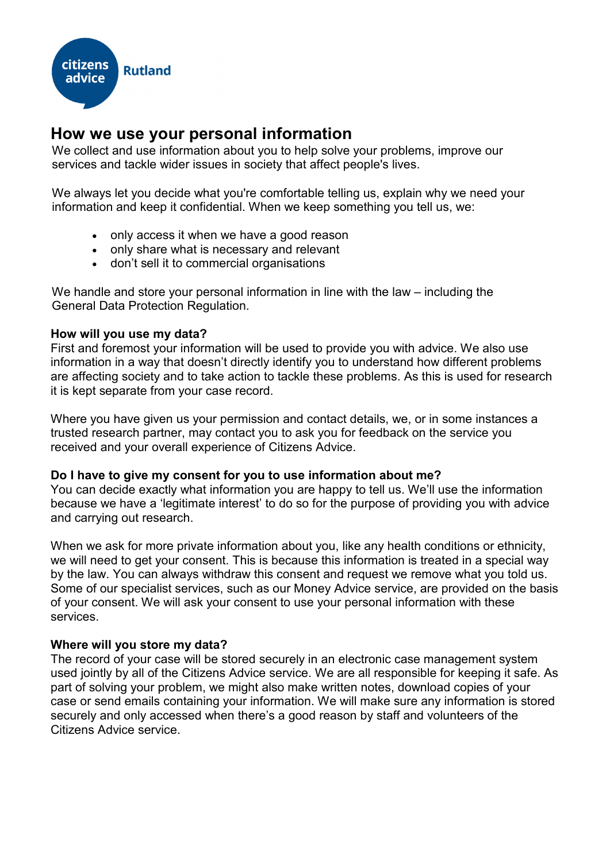

# **How we use your personal information**

We collect and use information about you to help solve your problems, improve our services and tackle wider issues in society that affect people's lives.

We always let you decide what you're comfortable telling us, explain why we need your information and keep it confidential. When we keep something you tell us, we:

- only access it when we have a good reason
- only share what is necessary and relevant
- don't sell it to commercial organisations

We handle and store your personal information in line with the law – including the General Data Protection Regulation.

# **How will you use my data?**

First and foremost your information will be used to provide you with advice. We also use information in a way that doesn't directly identify you to understand how different problems are affecting society and to take action to tackle these problems. As this is used for research it is kept separate from your case record.

Where you have given us your permission and contact details, we, or in some instances a trusted research partner, may contact you to ask you for feedback on the service you received and your overall experience of Citizens Advice.

### **Do I have to give my consent for you to use information about me?**

You can decide exactly what information you are happy to tell us. We'll use the information because we have a 'legitimate interest' to do so for the purpose of providing you with advice and carrying out research.

When we ask for more private information about you, like any health conditions or ethnicity, we will need to get your consent. This is because this information is treated in a special way by the law. You can always withdraw this consent and request we remove what you told us. Some of our specialist services, such as our Money Advice service, are provided on the basis of your consent. We will ask your consent to use your personal information with these services.

### **Where will you store my data?**

The record of your case will be stored securely in an electronic case management system used jointly by all of the Citizens Advice service. We are all responsible for keeping it safe. As part of solving your problem, we might also make written notes, download copies of your case or send emails containing your information. We will make sure any information is stored securely and only accessed when there's a good reason by staff and volunteers of the Citizens Advice service.